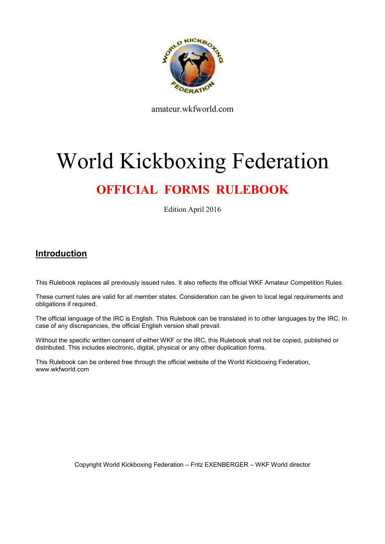

amateur.wkfworld.com

# World Kickboxing Federation

# **OFFICIAL FORMS RULEBOOK**

Edition April 2016

## **Introduction**

This Rulebook replaces all previously issued rules. It also reflects the official WKF Amateur Competition Rules.

These current rules are valid for all member states. Consideration can be given to local legal requirements and obligations if required.

The official language of the IRC is English. This Rulebook can be translated in to other languages by the IRC. In case of any discrepancies, the official English version shall prevail.

Without the specific written consent of either WKF or the IRC, this Rulebook shall not be copied, published or distributed. This includes electronic, digital, physical or any other duplication forms.

This Rulebook can be ordered free through the official website of the World Kickboxing Federation, www.wkfworld.com

Copyright World Kickboxing Federation – Fritz EXENBERGER – WKF World director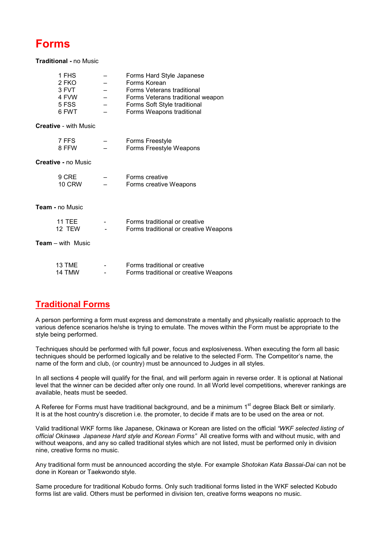# **Forms**

**Traditional -** no Music

| 1 FHS  |                          | Forms Hard Style Japanese         |
|--------|--------------------------|-----------------------------------|
| 2 FKO  |                          | Forms Korean                      |
| 3 FVT. | $\overline{\phantom{0}}$ | <b>Forms Veterans traditional</b> |
| 4 FVW  |                          | Forms Veterans traditional weapon |
| 5 FSS  |                          | Forms Soft Style traditional      |
| 6 FWT  |                          | Forms Weapons traditional         |
|        |                          |                                   |

**Creative** - with Music

| 7 FFS | - | Forms Freestyle         |
|-------|---|-------------------------|
| 8 FFW | - | Forms Freestyle Weapons |

**Creative -** no Music

| 9 CRE         | - | Forms creative         |
|---------------|---|------------------------|
| <b>10 CRW</b> | - | Forms creative Weapons |

**Team -** no Music

| 11 TFF | $\overline{\phantom{0}}$ | Forms traditional or creative         |
|--------|--------------------------|---------------------------------------|
| 12 TFW | $\overline{\phantom{0}}$ | Forms traditional or creative Weapons |

**Team** – with Music

| 13 TME | -                        | Forms traditional or creative         |
|--------|--------------------------|---------------------------------------|
| 14 TMW | $\overline{\phantom{0}}$ | Forms traditional or creative Weapons |

# **Traditional Forms**

A person performing a form must express and demonstrate a mentally and physically realistic approach to the various defence scenarios he/she is trying to emulate. The moves within the Form must be appropriate to the style being performed.

Techniques should be performed with full power, focus and explosiveness. When executing the form all basic techniques should be performed logically and be relative to the selected Form. The Competitor's name, the name of the form and club, (or country) must be announced to Judges in all styles.

In all sections 4 people will qualify for the final, and will perform again in reverse order. It is optional at National level that the winner can be decided after only one round. In all World level competitions, wherever rankings are available, heats must be seeded.

A Referee for Forms must have traditional background, and be a minimum 1<sup>st</sup> degree Black Belt or similarly. It is at the host country's discretion i.e. the promoter, to decide if mats are to be used on the area or not.

Valid traditional WKF forms like Japanese, Okinawa or Korean are listed on the official *"WKF selected listing of official Okinawa Japanese Hard style and Korean Forms"* All creative forms with and without music, with and without weapons, and any so called traditional styles which are not listed, must be performed only in division nine, creative forms no music.

Any traditional form must be announced according the style. For example *Shotokan Kata Bassai-Dai* can not be done in Korean or Taekwondo style.

Same procedure for traditional Kobudo forms. Only such traditional forms listed in the WKF selected Kobudo forms list are valid. Others must be performed in division ten, creative forms weapons no music.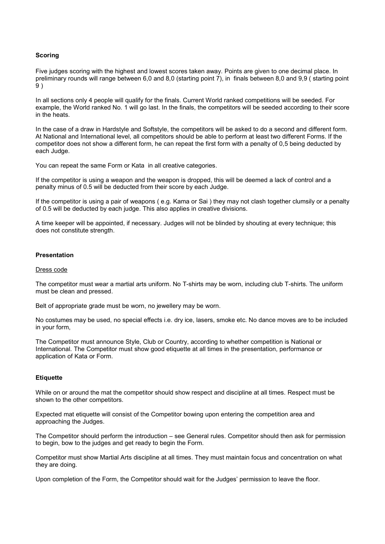#### **Scoring**

Five judges scoring with the highest and lowest scores taken away. Points are given to one decimal place. In preliminary rounds will range between 6,0 and 8,0 (starting point 7), in finals between 8,0 and 9,9 ( starting point 9 )

In all sections only 4 people will qualify for the finals. Current World ranked competitions will be seeded. For example, the World ranked No. 1 will go last. In the finals, the competitors will be seeded according to their score in the heats.

In the case of a draw in Hardstyle and Softstyle, the competitors will be asked to do a second and different form. At National and International level, all competitors should be able to perform at least two different Forms. If the competitor does not show a different form, he can repeat the first form with a penalty of 0,5 being deducted by each Judge.

You can repeat the same Form or Kata in all creative categories.

If the competitor is using a weapon and the weapon is dropped, this will be deemed a lack of control and a penalty minus of 0.5 will be deducted from their score by each Judge.

If the competitor is using a pair of weapons ( e.g. Kama or Sai ) they may not clash together clumsily or a penalty of 0.5 will be deducted by each judge. This also applies in creative divisions.

A time keeper will be appointed, if necessary. Judges will not be blinded by shouting at every technique; this does not constitute strength.

#### **Presentation**

#### Dress code

The competitor must wear a martial arts uniform. No T-shirts may be worn, including club T-shirts. The uniform must be clean and pressed.

Belt of appropriate grade must be worn, no jewellery may be worn.

No costumes may be used, no special effects i.e. dry ice, lasers, smoke etc. No dance moves are to be included in your form,

The Competitor must announce Style, Club or Country, according to whether competition is National or International. The Competitor must show good etiquette at all times in the presentation, performance or application of Kata or Form.

#### **Etiquette**

While on or around the mat the competitor should show respect and discipline at all times. Respect must be shown to the other competitors.

Expected mat etiquette will consist of the Competitor bowing upon entering the competition area and approaching the Judges.

The Competitor should perform the introduction – see General rules. Competitor should then ask for permission to begin, bow to the judges and get ready to begin the Form.

Competitor must show Martial Arts discipline at all times. They must maintain focus and concentration on what they are doing.

Upon completion of the Form, the Competitor should wait for the Judges' permission to leave the floor.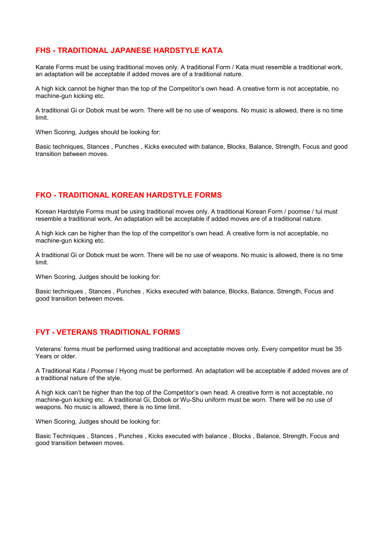#### **FHS - TRADITIONAL JAPANESE HARDSTYLE KATA**

Karate Forms must be using traditional moves only. A traditional Form / Kata must resemble a traditional work, an adaptation will be acceptable if added moves are of a traditional nature.

A high kick cannot be higher than the top of the Competitor's own head. A creative form is not acceptable, no machine-gun kicking etc.

A traditional Gi or Dobok must be worn. There will be no use of weapons. No music is allowed, there is no time limit.

When Scoring, Judges should be looking for:

Basic techniques, Stances , Punches , Kicks executed with balance, Blocks, Balance, Strength, Focus and good transition between moves.

### **FKO - TRADITIONAL KOREAN HARDSTYLE FORMS**

Korean Hardstyle Forms must be using traditional moves only. A traditional Korean Form / poomse / tul must resemble a traditional work. An adaptation will be acceptable if added moves are of a traditional nature.

A high kick can be higher than the top of the competitor's own head. A creative form is not acceptable, no machine-gun kicking etc.

A traditional Gi or Dobok must be worn. There will be no use of weapons. No music is allowed, there is no time limit.

When Scoring, Judges should be looking for:

Basic techniques , Stances , Punches , Kicks executed with balance, Blocks, Balance, Strength, Focus and good transition between moves.

#### **FVT - VETERANS TRADITIONAL FORMS**

Veterans' forms must be performed using traditional and acceptable moves only. Every competitor must be 35 Years or older.

A Traditional Kata / Poomse / Hyong must be performed. An adaptation will be acceptable if added moves are of a traditional nature of the style.

A high kick can't be higher than the top of the Competitor's own head. A creative form is not acceptable, no machine-gun kicking etc. A traditional Gi, Dobok or Wu-Shu uniform must be worn. There will be no use of weapons. No music is allowed, there is no time limit.

When Scoring, Judges should be looking for:

Basic Techniques , Stances , Punches , Kicks executed with balance , Blocks , Balance, Strength, Focus and good transition between moves.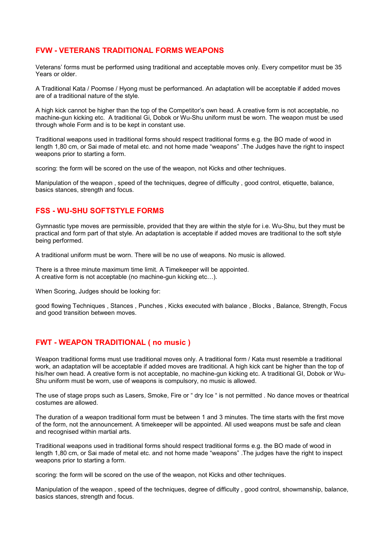#### **FVW - VETERANS TRADITIONAL FORMS WEAPONS**

Veterans' forms must be performed using traditional and acceptable moves only. Every competitor must be 35 Years or older.

A Traditional Kata / Poomse / Hyong must be performanced. An adaptation will be acceptable if added moves are of a traditional nature of the style.

A high kick cannot be higher than the top of the Competitor's own head. A creative form is not acceptable, no machine-gun kicking etc. A traditional Gi, Dobok or Wu-Shu uniform must be worn. The weapon must be used through whole Form and is to be kept in constant use.

Traditional weapons used in traditional forms should respect traditional forms e.g. the BO made of wood in length 1,80 cm, or Sai made of metal etc. and not home made "weapons" .The Judges have the right to inspect weapons prior to starting a form.

scoring: the form will be scored on the use of the weapon, not Kicks and other techniques.

Manipulation of the weapon , speed of the techniques, degree of difficulty , good control, etiquette, balance, basics stances, strength and focus.

#### **FSS - WU-SHU SOFTSTYLE FORMS**

Gymnastic type moves are permissible, provided that they are within the style for i.e. Wu-Shu, but they must be practical and form part of that style. An adaptation is acceptable if added moves are traditional to the soft style being performed.

A traditional uniform must be worn. There will be no use of weapons. No music is allowed.

There is a three minute maximum time limit. A Timekeeper will be appointed. A creative form is not acceptable (no machine-gun kicking etc...).

When Scoring, Judges should be looking for:

good flowing Techniques , Stances , Punches , Kicks executed with balance , Blocks , Balance, Strength, Focus and good transition between moves.

#### **FWT - WEAPON TRADITIONAL ( no music )**

Weapon traditional forms must use traditional moves only. A traditional form / Kata must resemble a traditional work, an adaptation will be acceptable if added moves are traditional. A high kick cant be higher than the top of his/her own head. A creative form is not acceptable, no machine-gun kicking etc. A traditional GI, Dobok or Wu-Shu uniform must be worn, use of weapons is compulsory, no music is allowed.

The use of stage props such as Lasers, Smoke, Fire or " dry Ice " is not permitted . No dance moves or theatrical costumes are allowed.

The duration of a weapon traditional form must be between 1 and 3 minutes. The time starts with the first move of the form, not the announcement. A timekeeper will be appointed. All used weapons must be safe and clean and recognised within martial arts.

Traditional weapons used in traditional forms should respect traditional forms e.g. the BO made of wood in length 1,80 cm, or Sai made of metal etc. and not home made "weapons" .The judges have the right to inspect weapons prior to starting a form.

scoring: the form will be scored on the use of the weapon, not Kicks and other techniques.

Manipulation of the weapon , speed of the techniques, degree of difficulty , good control, showmanship, balance, basics stances, strength and focus.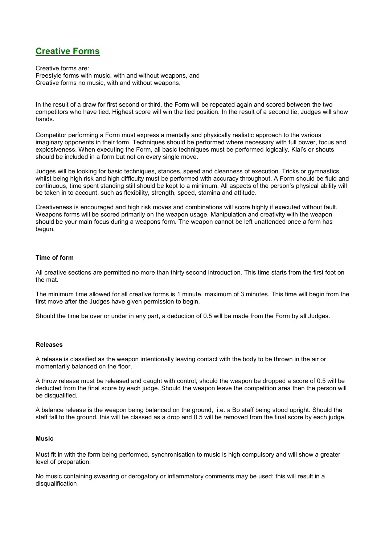# **Creative Forms**

Creative forms are: Freestyle forms with music, with and without weapons, and Creative forms no music, with and without weapons.

In the result of a draw for first second or third, the Form will be repeated again and scored between the two competitors who have tied. Highest score will win the tied position. In the result of a second tie, Judges will show hands.

Competitor performing a Form must express a mentally and physically realistic approach to the various imaginary opponents in their form. Techniques should be performed where necessary with full power, focus and explosiveness. When executing the Form, all basic techniques must be performed logically. Kiai's or shouts should be included in a form but not on every single move.

Judges will be looking for basic techniques, stances, speed and cleanness of execution. Tricks or gymnastics whilst being high risk and high difficulty must be performed with accuracy throughout. A Form should be fluid and continuous, time spent standing still should be kept to a minimum. All aspects of the person's physical ability will be taken in to account, such as flexibility, strength, speed, stamina and attitude.

Creativeness is encouraged and high risk moves and combinations will score highly if executed without fault. Weapons forms will be scored primarily on the weapon usage. Manipulation and creativity with the weapon should be your main focus during a weapons form. The weapon cannot be left unattended once a form has begun.

#### **Time of form**

All creative sections are permitted no more than thirty second introduction. This time starts from the first foot on the mat.

The minimum time allowed for all creative forms is 1 minute, maximum of 3 minutes. This time will begin from the first move after the Judges have given permission to begin.

Should the time be over or under in any part, a deduction of 0.5 will be made from the Form by all Judges.

#### **Releases**

A release is classified as the weapon intentionally leaving contact with the body to be thrown in the air or momentarily balanced on the floor.

A throw release must be released and caught with control, should the weapon be dropped a score of 0.5 will be deducted from the final score by each judge. Should the weapon leave the competition area then the person will be disqualified.

A balance release is the weapon being balanced on the ground, i.e. a Bo staff being stood upright. Should the staff fall to the ground, this will be classed as a drop and 0.5 will be removed from the final score by each judge.

#### **Music**

Must fit in with the form being performed, synchronisation to music is high compulsory and will show a greater level of preparation.

No music containing swearing or derogatory or inflammatory comments may be used; this will result in a disqualification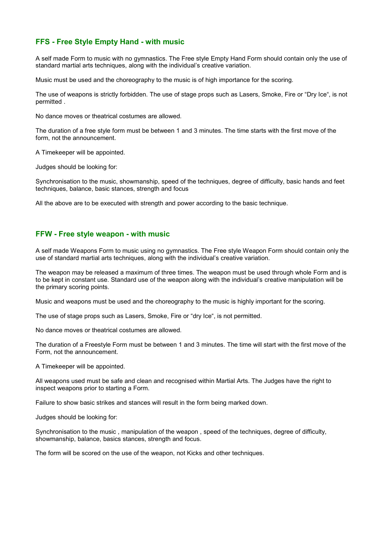#### **FFS - Free Style Empty Hand - with music**

A self made Form to music with no gymnastics. The Free style Empty Hand Form should contain only the use of standard martial arts techniques, along with the individual's creative variation.

Music must be used and the choreography to the music is of high importance for the scoring.

The use of weapons is strictly forbidden. The use of stage props such as Lasers, Smoke, Fire or "Dry Ice", is not permitted .

No dance moves or theatrical costumes are allowed.

The duration of a free style form must be between 1 and 3 minutes. The time starts with the first move of the form, not the announcement.

A Timekeeper will be appointed.

Judges should be looking for:

Synchronisation to the music, showmanship, speed of the techniques, degree of difficulty, basic hands and feet techniques, balance, basic stances, strength and focus

All the above are to be executed with strength and power according to the basic technique.

#### **FFW - Free style weapon - with music**

A self made Weapons Form to music using no gymnastics. The Free style Weapon Form should contain only the use of standard martial arts techniques, along with the individual's creative variation.

The weapon may be released a maximum of three times. The weapon must be used through whole Form and is to be kept in constant use. Standard use of the weapon along with the individual's creative manipulation will be the primary scoring points.

Music and weapons must be used and the choreography to the music is highly important for the scoring.

The use of stage props such as Lasers, Smoke, Fire or "dry Ice", is not permitted.

No dance moves or theatrical costumes are allowed.

The duration of a Freestyle Form must be between 1 and 3 minutes. The time will start with the first move of the Form, not the announcement.

A Timekeeper will be appointed.

All weapons used must be safe and clean and recognised within Martial Arts. The Judges have the right to inspect weapons prior to starting a Form.

Failure to show basic strikes and stances will result in the form being marked down.

Judges should be looking for:

Synchronisation to the music , manipulation of the weapon , speed of the techniques, degree of difficulty, showmanship, balance, basics stances, strength and focus.

The form will be scored on the use of the weapon, not Kicks and other techniques.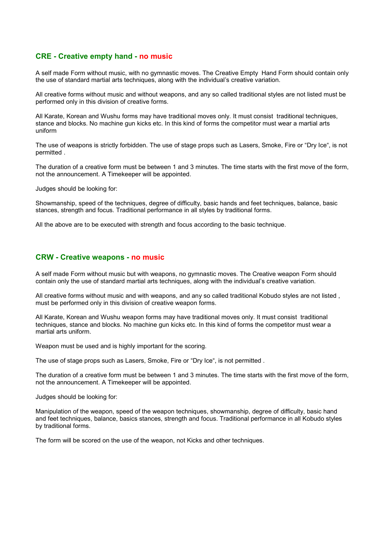#### **CRE - Creative empty hand - no music**

A self made Form without music, with no gymnastic moves. The Creative Empty Hand Form should contain only the use of standard martial arts techniques, along with the individual's creative variation.

All creative forms without music and without weapons, and any so called traditional styles are not listed must be performed only in this division of creative forms.

All Karate, Korean and Wushu forms may have traditional moves only. It must consist traditional techniques, stance and blocks. No machine gun kicks etc. In this kind of forms the competitor must wear a martial arts uniform

The use of weapons is strictly forbidden. The use of stage props such as Lasers, Smoke, Fire or "Dry Ice", is not permitted .

The duration of a creative form must be between 1 and 3 minutes. The time starts with the first move of the form, not the announcement. A Timekeeper will be appointed.

Judges should be looking for:

Showmanship, speed of the techniques, degree of difficulty, basic hands and feet techniques, balance, basic stances, strength and focus. Traditional performance in all styles by traditional forms.

All the above are to be executed with strength and focus according to the basic technique.

#### **CRW - Creative weapons - no music**

A self made Form without music but with weapons, no gymnastic moves. The Creative weapon Form should contain only the use of standard martial arts techniques, along with the individual's creative variation.

All creative forms without music and with weapons, and any so called traditional Kobudo styles are not listed , must be performed only in this division of creative weapon forms.

All Karate, Korean and Wushu weapon forms may have traditional moves only. It must consist traditional techniques, stance and blocks. No machine gun kicks etc. In this kind of forms the competitor must wear a martial arts uniform.

Weapon must be used and is highly important for the scoring.

The use of stage props such as Lasers, Smoke, Fire or "Dry Ice", is not permitted .

The duration of a creative form must be between 1 and 3 minutes. The time starts with the first move of the form, not the announcement. A Timekeeper will be appointed.

Judges should be looking for:

Manipulation of the weapon, speed of the weapon techniques, showmanship, degree of difficulty, basic hand and feet techniques, balance, basics stances, strength and focus. Traditional performance in all Kobudo styles by traditional forms.

The form will be scored on the use of the weapon, not Kicks and other techniques.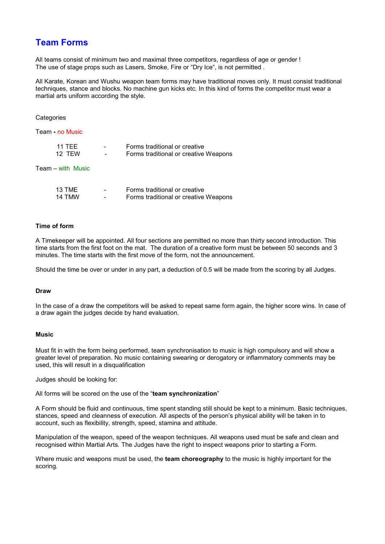## **Team Forms**

All teams consist of minimum two and maximal three competitors, regardless of age or gender ! The use of stage props such as Lasers, Smoke, Fire or "Dry Ice", is not permitted .

All Karate, Korean and Wushu weapon team forms may have traditional moves only. It must consist traditional techniques, stance and blocks. No machine gun kicks etc. In this kind of forms the competitor must wear a martial arts uniform according the style.

#### **Categories**

Team **-** no Music

| <b>11 TFF</b> | $\overline{\phantom{0}}$ | Forms traditional or creative         |
|---------------|--------------------------|---------------------------------------|
| 12 TFW        | $\overline{\phantom{0}}$ | Forms traditional or creative Weapons |
|               |                          |                                       |

Team – with Music

| 13 TMF | $\overline{\phantom{0}}$ | Forms traditional or creative         |
|--------|--------------------------|---------------------------------------|
| 14 TMW | $\overline{\phantom{a}}$ | Forms traditional or creative Weapons |

#### **Time of form**

A Timekeeper will be appointed. All four sections are permitted no more than thirty second introduction. This time starts from the first foot on the mat. The duration of a creative form must be between 50 seconds and 3 minutes. The time starts with the first move of the form, not the announcement.

Should the time be over or under in any part, a deduction of 0.5 will be made from the scoring by all Judges.

#### **Draw**

In the case of a draw the competitors will be asked to repeat same form again, the higher score wins. In case of a draw again the judges decide by hand evaluation.

#### **Music**

Must fit in with the form being performed, team synchronisation to music is high compulsory and will show a greater level of preparation. No music containing swearing or derogatory or inflammatory comments may be used, this will result in a disqualification

Judges should be looking for:

All forms will be scored on the use of the "**team synchronization**"

A Form should be fluid and continuous, time spent standing still should be kept to a minimum. Basic techniques, stances, speed and cleanness of execution. All aspects of the person's physical ability will be taken in to account, such as flexibility, strength, speed, stamina and attitude.

Manipulation of the weapon, speed of the weapon techniques. All weapons used must be safe and clean and recognised within Martial Arts. The Judges have the right to inspect weapons prior to starting a Form.

Where music and weapons must be used, the **team choreography** to the music is highly important for the scoring.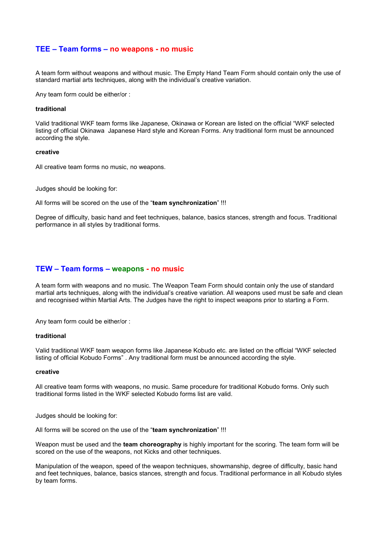#### **TEE – Team forms – no weapons - no music**

A team form without weapons and without music. The Empty Hand Team Form should contain only the use of standard martial arts techniques, along with the individual's creative variation.

Any team form could be either/or :

#### **traditional**

Valid traditional WKF team forms like Japanese, Okinawa or Korean are listed on the official "WKF selected listing of official Okinawa Japanese Hard style and Korean Forms. Any traditional form must be announced according the style.

#### **creative**

All creative team forms no music, no weapons.

Judges should be looking for:

All forms will be scored on the use of the "**team synchronization**" !!!

Degree of difficulty, basic hand and feet techniques, balance, basics stances, strength and focus. Traditional performance in all styles by traditional forms.

#### **TEW – Team forms – weapons - no music**

A team form with weapons and no music. The Weapon Team Form should contain only the use of standard martial arts techniques, along with the individual's creative variation. All weapons used must be safe and clean and recognised within Martial Arts. The Judges have the right to inspect weapons prior to starting a Form.

Any team form could be either/or :

#### **traditional**

Valid traditional WKF team weapon forms like Japanese Kobudo etc. are listed on the official "WKF selected listing of official Kobudo Forms" . Any traditional form must be announced according the style.

#### **creative**

All creative team forms with weapons, no music. Same procedure for traditional Kobudo forms. Only such traditional forms listed in the WKF selected Kobudo forms list are valid.

Judges should be looking for:

All forms will be scored on the use of the "**team synchronization**" !!!

Weapon must be used and the **team choreography** is highly important for the scoring. The team form will be scored on the use of the weapons, not Kicks and other techniques.

Manipulation of the weapon, speed of the weapon techniques, showmanship, degree of difficulty, basic hand and feet techniques, balance, basics stances, strength and focus. Traditional performance in all Kobudo styles by team forms.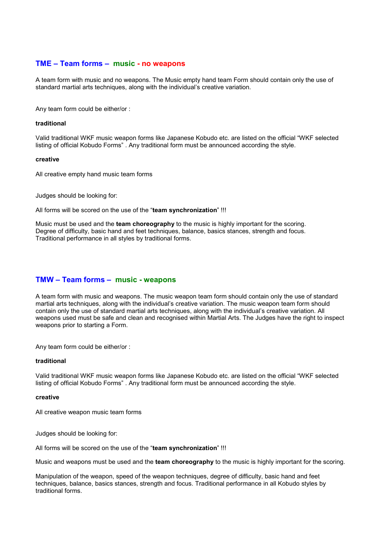#### **TME – Team forms – music - no weapons**

A team form with music and no weapons. The Music empty hand team Form should contain only the use of standard martial arts techniques, along with the individual's creative variation.

Any team form could be either/or :

#### **traditional**

Valid traditional WKF music weapon forms like Japanese Kobudo etc. are listed on the official "WKF selected listing of official Kobudo Forms" . Any traditional form must be announced according the style.

#### **creative**

All creative empty hand music team forms

Judges should be looking for:

All forms will be scored on the use of the "**team synchronization**" !!!

Music must be used and the **team choreography** to the music is highly important for the scoring. Degree of difficulty, basic hand and feet techniques, balance, basics stances, strength and focus. Traditional performance in all styles by traditional forms.

#### **TMW – Team forms – music - weapons**

A team form with music and weapons. The music weapon team form should contain only the use of standard martial arts techniques, along with the individual's creative variation. The music weapon team form should contain only the use of standard martial arts techniques, along with the individual's creative variation. All weapons used must be safe and clean and recognised within Martial Arts. The Judges have the right to inspect weapons prior to starting a Form.

Any team form could be either/or :

#### **traditional**

Valid traditional WKF music weapon forms like Japanese Kobudo etc. are listed on the official "WKF selected listing of official Kobudo Forms" . Any traditional form must be announced according the style.

#### **creative**

All creative weapon music team forms

Judges should be looking for:

All forms will be scored on the use of the "**team synchronization**" !!!

Music and weapons must be used and the **team choreography** to the music is highly important for the scoring.

Manipulation of the weapon, speed of the weapon techniques, degree of difficulty, basic hand and feet techniques, balance, basics stances, strength and focus. Traditional performance in all Kobudo styles by traditional forms.